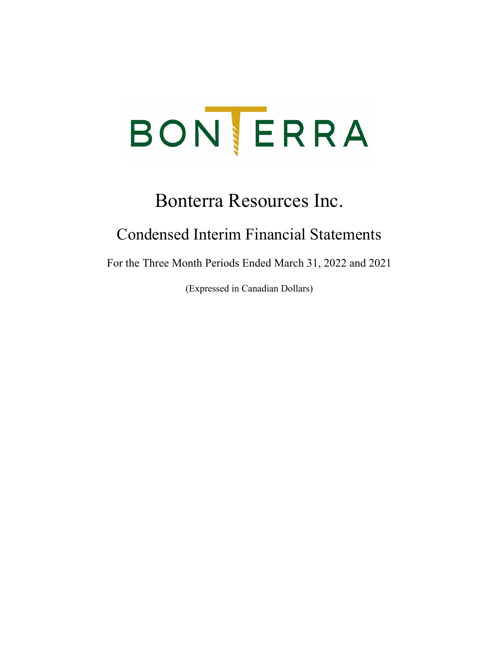

## Bonterra Resources Inc. Condensed Interim Financial Statements

For the Three Month Periods Ended March 31, 2022 and 2021

(Expressed in Canadian Dollars)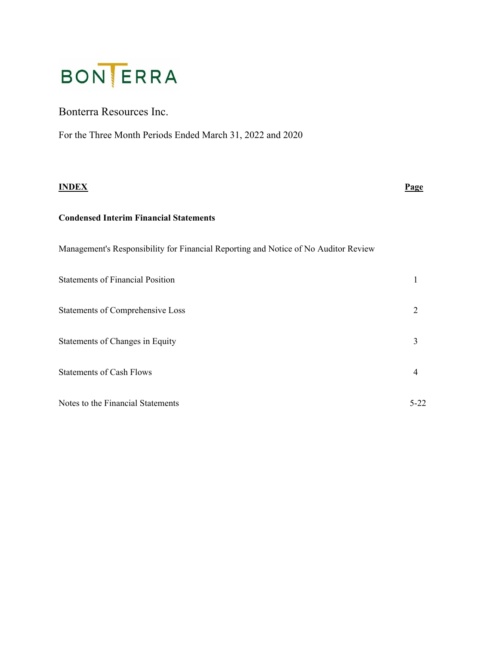# BONERRA

## Bonterra Resources Inc.

For the Three Month Periods Ended March 31, 2022 and 2020

### **INDEX Page**

## **Condensed Interim Financial Statements**

Management's Responsibility for Financial Reporting and Notice of No Auditor Review

| <b>Statements of Financial Position</b> |        |
|-----------------------------------------|--------|
| Statements of Comprehensive Loss        | 2      |
| Statements of Changes in Equity         | 3      |
| <b>Statements of Cash Flows</b>         | 4      |
| Notes to the Financial Statements       | $5-22$ |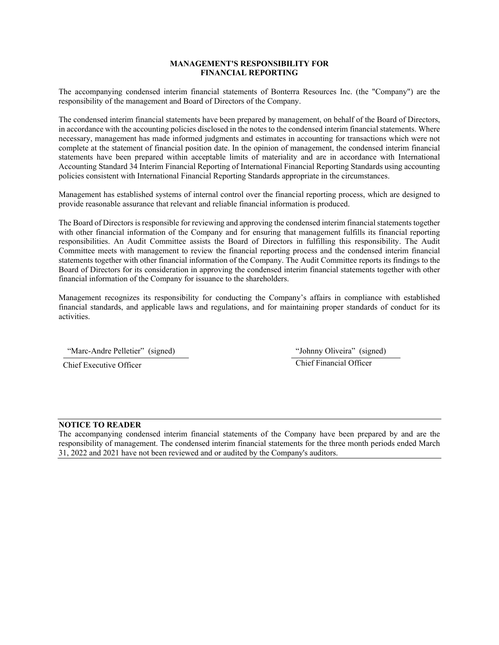#### **MANAGEMENT'S RESPONSIBILITY FOR FINANCIAL REPORTING**

The accompanying condensed interim financial statements of Bonterra Resources Inc. (the "Company") are the responsibility of the management and Board of Directors of the Company.

The condensed interim financial statements have been prepared by management, on behalf of the Board of Directors, in accordance with the accounting policies disclosed in the notes to the condensed interim financial statements. Where necessary, management has made informed judgments and estimates in accounting for transactions which were not complete at the statement of financial position date. In the opinion of management, the condensed interim financial statements have been prepared within acceptable limits of materiality and are in accordance with International Accounting Standard 34 Interim Financial Reporting of International Financial Reporting Standards using accounting policies consistent with International Financial Reporting Standards appropriate in the circumstances.

Management has established systems of internal control over the financial reporting process, which are designed to provide reasonable assurance that relevant and reliable financial information is produced.

The Board of Directors is responsible for reviewing and approving the condensed interim financial statements together with other financial information of the Company and for ensuring that management fulfills its financial reporting responsibilities. An Audit Committee assists the Board of Directors in fulfilling this responsibility. The Audit Committee meets with management to review the financial reporting process and the condensed interim financial statements together with other financial information of the Company. The Audit Committee reports its findings to the Board of Directors for its consideration in approving the condensed interim financial statements together with other financial information of the Company for issuance to the shareholders.

Management recognizes its responsibility for conducting the Company's affairs in compliance with established financial standards, and applicable laws and regulations, and for maintaining proper standards of conduct for its activities.

"Marc-Andre Pelletier" (signed)"Johnny Oliveira" (signed)

Chief Executive OfficerChief Financial Officer

#### **NOTICE TO READER**

The accompanying condensed interim financial statements of the Company have been prepared by and are the responsibility of management. The condensed interim financial statements for the three month periods ended March 31, 2022 and 2021 have not been reviewed and or audited by the Company's auditors.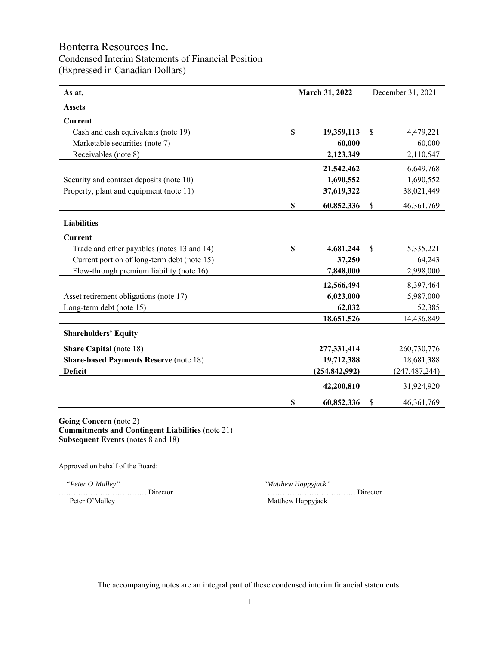## Bonterra Resources Inc. Condensed Interim Statements of Financial Position (Expressed in Canadian Dollars)

| As at,                                        | March 31, 2022 |                 |    | December 31, 2021 |
|-----------------------------------------------|----------------|-----------------|----|-------------------|
| <b>Assets</b>                                 |                |                 |    |                   |
| <b>Current</b>                                |                |                 |    |                   |
| Cash and cash equivalents (note 19)           | \$             | 19,359,113      | \$ | 4,479,221         |
| Marketable securities (note 7)                |                | 60,000          |    | 60,000            |
| Receivables (note 8)                          |                | 2,123,349       |    | 2,110,547         |
|                                               |                | 21,542,462      |    | 6,649,768         |
| Security and contract deposits (note 10)      |                | 1,690,552       |    | 1,690,552         |
| Property, plant and equipment (note 11)       |                | 37,619,322      |    | 38,021,449        |
|                                               | \$             | 60,852,336      | \$ | 46, 361, 769      |
| <b>Liabilities</b>                            |                |                 |    |                   |
| <b>Current</b>                                |                |                 |    |                   |
| Trade and other payables (notes 13 and 14)    | \$             | 4,681,244       | \$ | 5,335,221         |
| Current portion of long-term debt (note 15)   |                | 37,250          |    | 64,243            |
| Flow-through premium liability (note 16)      |                | 7,848,000       |    | 2,998,000         |
|                                               |                | 12,566,494      |    | 8,397,464         |
| Asset retirement obligations (note 17)        |                | 6,023,000       |    | 5,987,000         |
| Long-term debt (note 15)                      |                | 62,032          |    | 52,385            |
|                                               |                | 18,651,526      |    | 14,436,849        |
| <b>Shareholders' Equity</b>                   |                |                 |    |                   |
| <b>Share Capital</b> (note 18)                |                | 277,331,414     |    | 260,730,776       |
| <b>Share-based Payments Reserve (note 18)</b> |                | 19,712,388      |    | 18,681,388        |
| <b>Deficit</b>                                |                | (254, 842, 992) |    | (247, 487, 244)   |
|                                               |                | 42,200,810      |    | 31,924,920        |
|                                               | \$             | 60,852,336      | \$ | 46, 361, 769      |

**Going Concern** (note 2) **Commitments and Contingent Liabilities** (note 21) **Subsequent Events** (notes 8 and 18)

Approved on behalf of the Board:

 *"Peter O'Malley" "Matthew Happyjack"* 

……………………………… Director ……………………………… Director Peter O'Malley Matthew Happyjack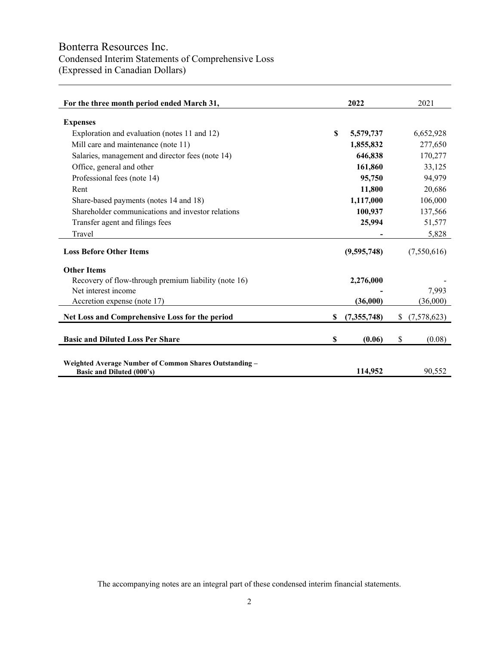## Bonterra Resources Inc. Condensed Interim Statements of Comprehensive Loss (Expressed in Canadian Dollars)

| For the three month period ended March 31,                                          |   | 2022          | 2021              |
|-------------------------------------------------------------------------------------|---|---------------|-------------------|
| <b>Expenses</b>                                                                     |   |               |                   |
| Exploration and evaluation (notes 11 and 12)                                        | S | 5,579,737     | 6,652,928         |
| Mill care and maintenance (note 11)                                                 |   | 1,855,832     | 277,650           |
| Salaries, management and director fees (note 14)                                    |   | 646,838       | 170,277           |
| Office, general and other                                                           |   | 161,860       | 33,125            |
| Professional fees (note 14)                                                         |   | 95,750        | 94,979            |
| Rent                                                                                |   | 11,800        | 20,686            |
| Share-based payments (notes 14 and 18)                                              |   | 1,117,000     | 106,000           |
| Shareholder communications and investor relations                                   |   | 100,937       | 137,566           |
| Transfer agent and filings fees                                                     |   | 25,994        | 51,577            |
| Travel                                                                              |   |               | 5,828             |
| <b>Loss Before Other Items</b>                                                      |   | (9,595,748)   | (7,550,616)       |
| <b>Other Items</b>                                                                  |   |               |                   |
| Recovery of flow-through premium liability (note 16)                                |   | 2,276,000     |                   |
| Net interest income                                                                 |   |               | 7,993             |
| Accretion expense (note 17)                                                         |   | (36,000)      | (36,000)          |
| Net Loss and Comprehensive Loss for the period                                      | S | (7, 355, 748) | \$<br>(7,578,623) |
| <b>Basic and Diluted Loss Per Share</b>                                             | S | (0.06)        | \$<br>(0.08)      |
| Weighted Average Number of Common Shares Outstanding -<br>Basic and Diluted (000's) |   | 114,952       | 90,552            |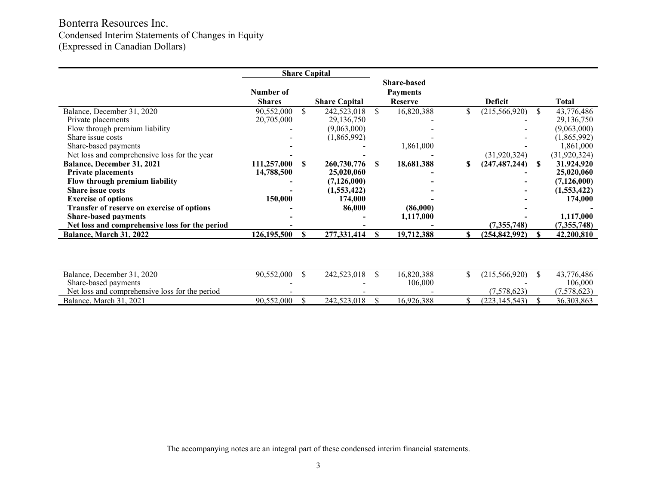## Bonterra Resources Inc. Condensed Interim Statements of Changes in Equity (Expressed in Canadian Dollars)

|                                                   |               | <b>Share Capital</b> |     |                    |    |                 |     |              |
|---------------------------------------------------|---------------|----------------------|-----|--------------------|----|-----------------|-----|--------------|
|                                                   |               |                      |     | <b>Share-based</b> |    |                 |     |              |
|                                                   | Number of     |                      |     | <b>Payments</b>    |    |                 |     |              |
|                                                   | <b>Shares</b> | <b>Share Capital</b> |     | <b>Reserve</b>     |    | <b>Deficit</b>  |     | Total        |
| Balance, December 31, 2020                        | 90,552,000    | 242,523,018          | \$. | 16,820,388         |    | (215,566,920)   |     | 43.776.486   |
| Private placements                                | 20,705,000    | 29,136,750           |     |                    |    |                 |     | 29,136,750   |
| Flow through premium liability                    |               | (9,063,000)          |     |                    |    |                 |     | (9,063,000)  |
| Share issue costs                                 |               | (1,865,992)          |     |                    |    |                 |     | (1,865,992)  |
| Share-based payments                              |               |                      |     | 1,861,000          |    |                 |     | 1,861,000    |
| Net loss and comprehensive loss for the year      |               |                      |     |                    |    | (31,920,324)    |     | (31,920,324) |
| <b>Balance, December 31, 2021</b>                 | 111,257,000   | 260,730,776          | S   | 18,681,388         | S. | (247, 487, 244) | -SS | 31,924,920   |
| <b>Private placements</b>                         | 14,788,500    | 25,020,060           |     |                    |    |                 |     | 25,020,060   |
| Flow through premium liability                    |               | (7,126,000)          |     |                    |    |                 |     | (7,126,000)  |
| <b>Share issue costs</b>                          |               | (1,553,422)          |     |                    |    |                 |     | (1,553,422)  |
| <b>Exercise of options</b>                        | 150,000       | 174,000              |     |                    |    |                 |     | 174,000      |
| <b>Transfer of reserve on exercise of options</b> |               | 86,000               |     | (86,000)           |    |                 |     |              |
| <b>Share-based payments</b>                       |               |                      |     | 1,117,000          |    |                 |     | 1,117,000    |
| Net loss and comprehensive loss for the period    |               |                      |     |                    |    | (7.355.748)     |     | (7,355,748)  |
| Balance, March 31, 2022                           | 126,195,500   | 277,331,414          |     | 19,712,388         |    | (254, 842, 992) |     | 42,200,810   |

| Balance, December 31, 2020                     | 90,552,000               | 242,523,018              | 16.820.388 | (215, 566, 920) | 43,776,486   |
|------------------------------------------------|--------------------------|--------------------------|------------|-----------------|--------------|
| Share-based payments                           | $\overline{\phantom{0}}$ |                          | 106,000    |                 | 106,000      |
| Net loss and comprehensive loss for the period | $\overline{\phantom{0}}$ | $\overline{\phantom{0}}$ |            | (7.578.623)     | (7.578.623)  |
| Balance, March 31, 2021                        | 90,552,000               | 242,523,018              | 16.926.388 | 145.543         | 36, 303, 863 |
|                                                |                          |                          |            |                 |              |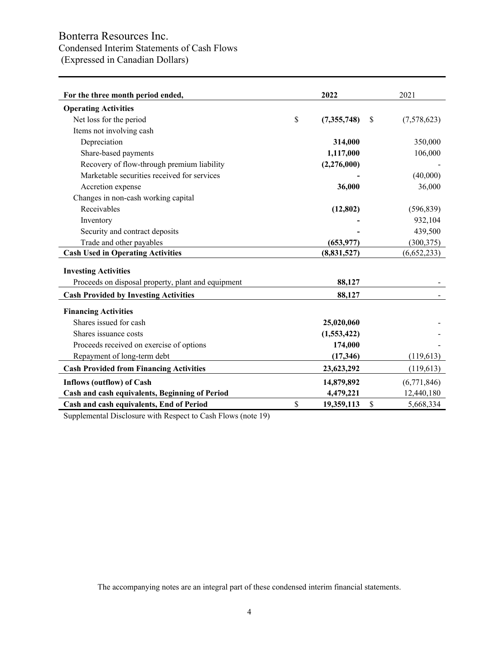## Bonterra Resources Inc.

## Condensed Interim Statements of Cash Flows

(Expressed in Canadian Dollars)

| For the three month period ended,                  | 2022                |                           | 2021        |
|----------------------------------------------------|---------------------|---------------------------|-------------|
| <b>Operating Activities</b>                        |                     |                           |             |
| Net loss for the period                            | \$<br>(7, 355, 748) | $\boldsymbol{\mathsf{S}}$ | (7,578,623) |
| Items not involving cash                           |                     |                           |             |
| Depreciation                                       | 314,000             |                           | 350,000     |
| Share-based payments                               | 1,117,000           |                           | 106,000     |
| Recovery of flow-through premium liability         | (2,276,000)         |                           |             |
| Marketable securities received for services        |                     |                           | (40,000)    |
| Accretion expense                                  | 36,000              |                           | 36,000      |
| Changes in non-cash working capital                |                     |                           |             |
| Receivables                                        | (12, 802)           |                           | (596, 839)  |
| Inventory                                          |                     |                           | 932,104     |
| Security and contract deposits                     |                     |                           | 439,500     |
| Trade and other payables                           | (653, 977)          |                           | (300, 375)  |
| <b>Cash Used in Operating Activities</b>           | (8, 831, 527)       |                           | (6,652,233) |
|                                                    |                     |                           |             |
| <b>Investing Activities</b>                        |                     |                           |             |
| Proceeds on disposal property, plant and equipment | 88,127              |                           |             |
| <b>Cash Provided by Investing Activities</b>       | 88,127              |                           |             |
| <b>Financing Activities</b>                        |                     |                           |             |
| Shares issued for cash                             | 25,020,060          |                           |             |
| Shares issuance costs                              | (1,553,422)         |                           |             |
| Proceeds received on exercise of options           | 174,000             |                           |             |
| Repayment of long-term debt                        | (17, 346)           |                           | (119, 613)  |
| <b>Cash Provided from Financing Activities</b>     | 23,623,292          |                           | (119, 613)  |
| <b>Inflows (outflow) of Cash</b>                   | 14,879,892          |                           | (6,771,846) |
| Cash and cash equivalents, Beginning of Period     | 4,479,221           |                           | 12,440,180  |
| Cash and cash equivalents, End of Period           | \$<br>19,359,113    | $\boldsymbol{\mathsf{S}}$ | 5,668,334   |

Supplemental Disclosure with Respect to Cash Flows (note 19)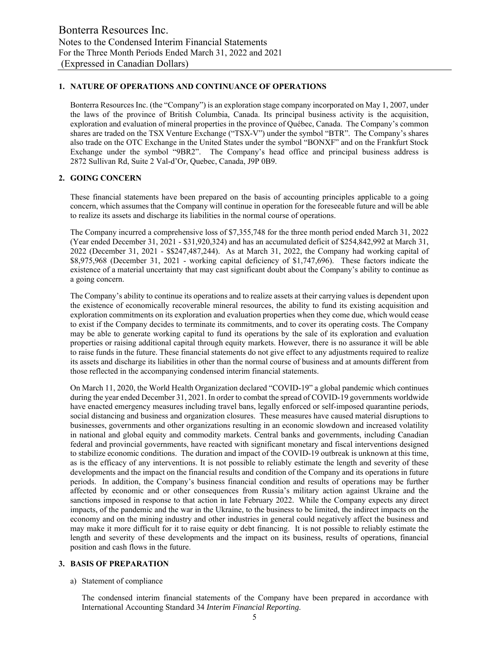#### **1. NATURE OF OPERATIONS AND CONTINUANCE OF OPERATIONS**

Bonterra Resources Inc. (the "Company") is an exploration stage company incorporated on May 1, 2007, under the laws of the province of British Columbia, Canada. Its principal business activity is the acquisition, exploration and evaluation of mineral properties in the province of Québec, Canada. The Company's common shares are traded on the TSX Venture Exchange ("TSX-V") under the symbol "BTR". The Company's shares also trade on the OTC Exchange in the United States under the symbol "BONXF" and on the Frankfurt Stock Exchange under the symbol "9BR2". The Company's head office and principal business address is 2872 Sullivan Rd, Suite 2 Val-d'Or, Quebec, Canada, J9P 0B9.

#### **2. GOING CONCERN**

These financial statements have been prepared on the basis of accounting principles applicable to a going concern, which assumes that the Company will continue in operation for the foreseeable future and will be able to realize its assets and discharge its liabilities in the normal course of operations.

The Company incurred a comprehensive loss of \$7,355,748 for the three month period ended March 31, 2022 (Year ended December 31, 2021 - \$31,920,324) and has an accumulated deficit of \$254,842,992 at March 31, 2022 (December 31, 2021 - \$\$247,487,244). As at March 31, 2022, the Company had working capital of \$8,975,968 (December 31, 2021 - working capital deficiency of \$1,747,696). These factors indicate the existence of a material uncertainty that may cast significant doubt about the Company's ability to continue as a going concern.

The Company's ability to continue its operations and to realize assets at their carrying values is dependent upon the existence of economically recoverable mineral resources, the ability to fund its existing acquisition and exploration commitments on its exploration and evaluation properties when they come due, which would cease to exist if the Company decides to terminate its commitments, and to cover its operating costs. The Company may be able to generate working capital to fund its operations by the sale of its exploration and evaluation properties or raising additional capital through equity markets. However, there is no assurance it will be able to raise funds in the future. These financial statements do not give effect to any adjustments required to realize its assets and discharge its liabilities in other than the normal course of business and at amounts different from those reflected in the accompanying condensed interim financial statements.

On March 11, 2020, the World Health Organization declared "COVID-19" a global pandemic which continues during the year ended December 31, 2021. In order to combat the spread of COVID-19 governments worldwide have enacted emergency measures including travel bans, legally enforced or self-imposed quarantine periods, social distancing and business and organization closures. These measures have caused material disruptions to businesses, governments and other organizations resulting in an economic slowdown and increased volatility in national and global equity and commodity markets. Central banks and governments, including Canadian federal and provincial governments, have reacted with significant monetary and fiscal interventions designed to stabilize economic conditions. The duration and impact of the COVID-19 outbreak is unknown at this time, as is the efficacy of any interventions. It is not possible to reliably estimate the length and severity of these developments and the impact on the financial results and condition of the Company and its operations in future periods. In addition, the Company's business financial condition and results of operations may be further affected by economic and or other consequences from Russia's military action against Ukraine and the sanctions imposed in response to that action in late February 2022. While the Company expects any direct impacts, of the pandemic and the war in the Ukraine, to the business to be limited, the indirect impacts on the economy and on the mining industry and other industries in general could negatively affect the business and may make it more difficult for it to raise equity or debt financing. It is not possible to reliably estimate the length and severity of these developments and the impact on its business, results of operations, financial position and cash flows in the future.

#### **3. BASIS OF PREPARATION**

a) Statement of compliance

The condensed interim financial statements of the Company have been prepared in accordance with International Accounting Standard 34 *Interim Financial Reporting*.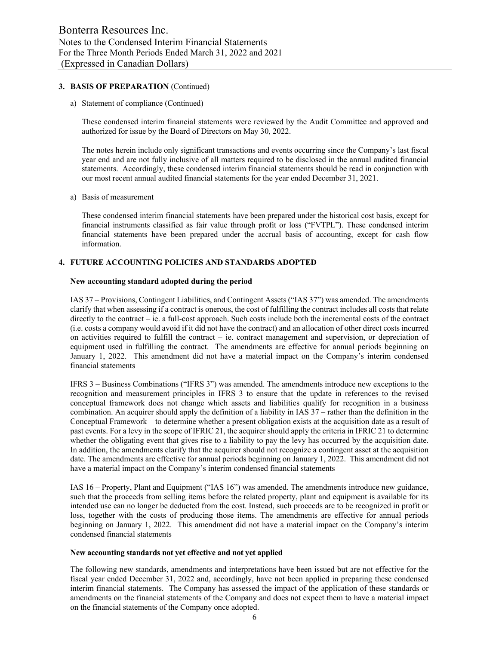#### **3. BASIS OF PREPARATION** (Continued)

a) Statement of compliance (Continued)

These condensed interim financial statements were reviewed by the Audit Committee and approved and authorized for issue by the Board of Directors on May 30, 2022.

The notes herein include only significant transactions and events occurring since the Company's last fiscal year end and are not fully inclusive of all matters required to be disclosed in the annual audited financial statements. Accordingly, these condensed interim financial statements should be read in conjunction with our most recent annual audited financial statements for the year ended December 31, 2021.

#### a) Basis of measurement

These condensed interim financial statements have been prepared under the historical cost basis, except for financial instruments classified as fair value through profit or loss ("FVTPL"). These condensed interim financial statements have been prepared under the accrual basis of accounting, except for cash flow information.

#### **4. FUTURE ACCOUNTING POLICIES AND STANDARDS ADOPTED**

#### **New accounting standard adopted during the period**

IAS 37 – Provisions, Contingent Liabilities, and Contingent Assets ("IAS 37") was amended. The amendments clarify that when assessing if a contract is onerous, the cost of fulfilling the contract includes all costs that relate directly to the contract – ie. a full-cost approach. Such costs include both the incremental costs of the contract (i.e. costs a company would avoid if it did not have the contract) and an allocation of other direct costs incurred on activities required to fulfill the contract – ie. contract management and supervision, or depreciation of equipment used in fulfilling the contract. The amendments are effective for annual periods beginning on January 1, 2022. This amendment did not have a material impact on the Company's interim condensed financial statements

IFRS 3 – Business Combinations ("IFRS 3") was amended. The amendments introduce new exceptions to the recognition and measurement principles in IFRS 3 to ensure that the update in references to the revised conceptual framework does not change which assets and liabilities qualify for recognition in a business combination. An acquirer should apply the definition of a liability in IAS 37 – rather than the definition in the Conceptual Framework – to determine whether a present obligation exists at the acquisition date as a result of past events. For a levy in the scope of IFRIC 21, the acquirer should apply the criteria in IFRIC 21 to determine whether the obligating event that gives rise to a liability to pay the levy has occurred by the acquisition date. In addition, the amendments clarify that the acquirer should not recognize a contingent asset at the acquisition date. The amendments are effective for annual periods beginning on January 1, 2022. This amendment did not have a material impact on the Company's interim condensed financial statements

IAS 16 – Property, Plant and Equipment ("IAS 16") was amended. The amendments introduce new guidance, such that the proceeds from selling items before the related property, plant and equipment is available for its intended use can no longer be deducted from the cost. Instead, such proceeds are to be recognized in profit or loss, together with the costs of producing those items. The amendments are effective for annual periods beginning on January 1, 2022. This amendment did not have a material impact on the Company's interim condensed financial statements

#### **New accounting standards not yet effective and not yet applied**

The following new standards, amendments and interpretations have been issued but are not effective for the fiscal year ended December 31, 2022 and, accordingly, have not been applied in preparing these condensed interim financial statements. The Company has assessed the impact of the application of these standards or amendments on the financial statements of the Company and does not expect them to have a material impact on the financial statements of the Company once adopted.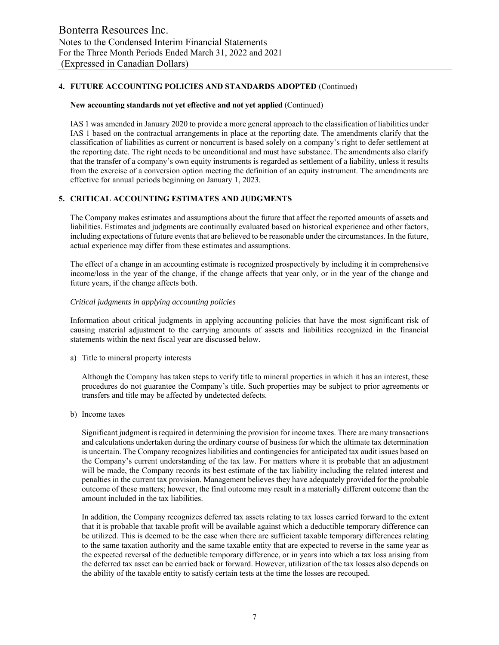#### **4. FUTURE ACCOUNTING POLICIES AND STANDARDS ADOPTED** (Continued)

#### **New accounting standards not yet effective and not yet applied** (Continued)

IAS 1 was amended in January 2020 to provide a more general approach to the classification of liabilities under IAS 1 based on the contractual arrangements in place at the reporting date. The amendments clarify that the classification of liabilities as current or noncurrent is based solely on a company's right to defer settlement at the reporting date. The right needs to be unconditional and must have substance. The amendments also clarify that the transfer of a company's own equity instruments is regarded as settlement of a liability, unless it results from the exercise of a conversion option meeting the definition of an equity instrument. The amendments are effective for annual periods beginning on January 1, 2023.

#### **5. CRITICAL ACCOUNTING ESTIMATES AND JUDGMENTS**

The Company makes estimates and assumptions about the future that affect the reported amounts of assets and liabilities. Estimates and judgments are continually evaluated based on historical experience and other factors, including expectations of future events that are believed to be reasonable under the circumstances. In the future, actual experience may differ from these estimates and assumptions.

The effect of a change in an accounting estimate is recognized prospectively by including it in comprehensive income/loss in the year of the change, if the change affects that year only, or in the year of the change and future years, if the change affects both.

#### *Critical judgments in applying accounting policies*

Information about critical judgments in applying accounting policies that have the most significant risk of causing material adjustment to the carrying amounts of assets and liabilities recognized in the financial statements within the next fiscal year are discussed below.

a) Title to mineral property interests

Although the Company has taken steps to verify title to mineral properties in which it has an interest, these procedures do not guarantee the Company's title. Such properties may be subject to prior agreements or transfers and title may be affected by undetected defects.

b) Income taxes

Significant judgment is required in determining the provision for income taxes. There are many transactions and calculations undertaken during the ordinary course of business for which the ultimate tax determination is uncertain. The Company recognizes liabilities and contingencies for anticipated tax audit issues based on the Company's current understanding of the tax law. For matters where it is probable that an adjustment will be made, the Company records its best estimate of the tax liability including the related interest and penalties in the current tax provision. Management believes they have adequately provided for the probable outcome of these matters; however, the final outcome may result in a materially different outcome than the amount included in the tax liabilities.

In addition, the Company recognizes deferred tax assets relating to tax losses carried forward to the extent that it is probable that taxable profit will be available against which a deductible temporary difference can be utilized. This is deemed to be the case when there are sufficient taxable temporary differences relating to the same taxation authority and the same taxable entity that are expected to reverse in the same year as the expected reversal of the deductible temporary difference, or in years into which a tax loss arising from the deferred tax asset can be carried back or forward. However, utilization of the tax losses also depends on the ability of the taxable entity to satisfy certain tests at the time the losses are recouped.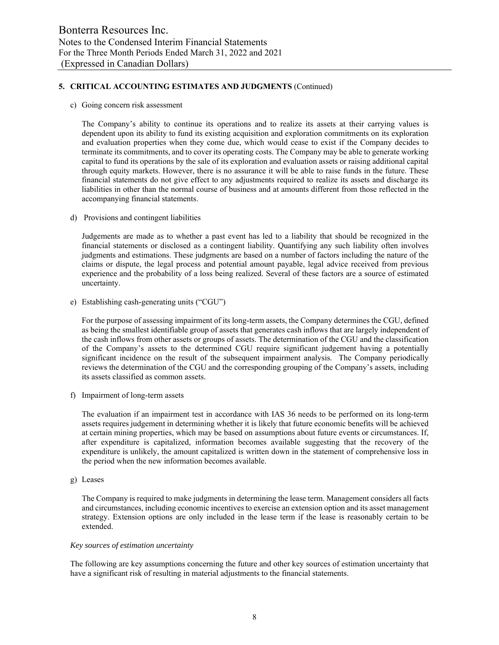#### **5. CRITICAL ACCOUNTING ESTIMATES AND JUDGMENTS** (Continued)

c) Going concern risk assessment

The Company's ability to continue its operations and to realize its assets at their carrying values is dependent upon its ability to fund its existing acquisition and exploration commitments on its exploration and evaluation properties when they come due, which would cease to exist if the Company decides to terminate its commitments, and to cover its operating costs. The Company may be able to generate working capital to fund its operations by the sale of its exploration and evaluation assets or raising additional capital through equity markets. However, there is no assurance it will be able to raise funds in the future. These financial statements do not give effect to any adjustments required to realize its assets and discharge its liabilities in other than the normal course of business and at amounts different from those reflected in the accompanying financial statements.

d) Provisions and contingent liabilities

Judgements are made as to whether a past event has led to a liability that should be recognized in the financial statements or disclosed as a contingent liability. Quantifying any such liability often involves judgments and estimations. These judgments are based on a number of factors including the nature of the claims or dispute, the legal process and potential amount payable, legal advice received from previous experience and the probability of a loss being realized. Several of these factors are a source of estimated uncertainty.

e) Establishing cash-generating units ("CGU")

For the purpose of assessing impairment of its long-term assets, the Company determines the CGU, defined as being the smallest identifiable group of assets that generates cash inflows that are largely independent of the cash inflows from other assets or groups of assets. The determination of the CGU and the classification of the Company's assets to the determined CGU require significant judgement having a potentially significant incidence on the result of the subsequent impairment analysis. The Company periodically reviews the determination of the CGU and the corresponding grouping of the Company's assets, including its assets classified as common assets.

f) Impairment of long-term assets

The evaluation if an impairment test in accordance with IAS 36 needs to be performed on its long-term assets requires judgement in determining whether it is likely that future economic benefits will be achieved at certain mining properties, which may be based on assumptions about future events or circumstances. If, after expenditure is capitalized, information becomes available suggesting that the recovery of the expenditure is unlikely, the amount capitalized is written down in the statement of comprehensive loss in the period when the new information becomes available.

g) Leases

The Company is required to make judgments in determining the lease term. Management considers all facts and circumstances, including economic incentives to exercise an extension option and its asset management strategy. Extension options are only included in the lease term if the lease is reasonably certain to be extended.

#### *Key sources of estimation uncertainty*

The following are key assumptions concerning the future and other key sources of estimation uncertainty that have a significant risk of resulting in material adjustments to the financial statements.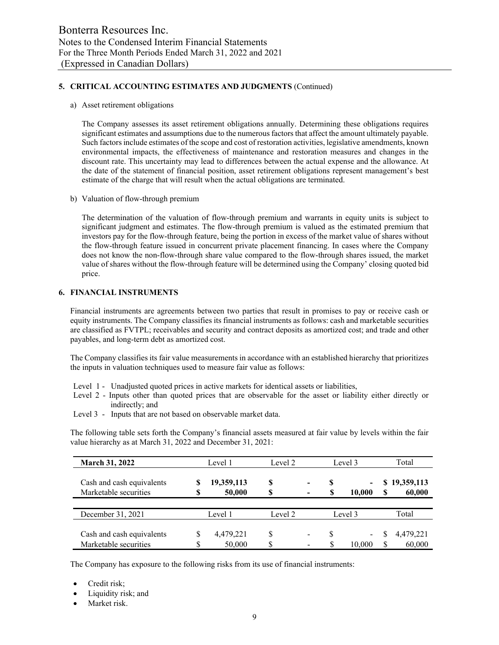#### **5. CRITICAL ACCOUNTING ESTIMATES AND JUDGMENTS** (Continued)

a) Asset retirement obligations

The Company assesses its asset retirement obligations annually. Determining these obligations requires significant estimates and assumptions due to the numerous factors that affect the amount ultimately payable. Such factors include estimates of the scope and cost of restoration activities, legislative amendments, known environmental impacts, the effectiveness of maintenance and restoration measures and changes in the discount rate. This uncertainty may lead to differences between the actual expense and the allowance. At the date of the statement of financial position, asset retirement obligations represent management's best estimate of the charge that will result when the actual obligations are terminated.

b) Valuation of flow-through premium

The determination of the valuation of flow-through premium and warrants in equity units is subject to significant judgment and estimates. The flow-through premium is valued as the estimated premium that investors pay for the flow-through feature, being the portion in excess of the market value of shares without the flow-through feature issued in concurrent private placement financing. In cases where the Company does not know the non-flow-through share value compared to the flow-through shares issued, the market value of shares without the flow-through feature will be determined using the Company' closing quoted bid price.

#### **6. FINANCIAL INSTRUMENTS**

Financial instruments are agreements between two parties that result in promises to pay or receive cash or equity instruments. The Company classifies its financial instruments as follows: cash and marketable securities are classified as FVTPL; receivables and security and contract deposits as amortized cost; and trade and other payables, and long-term debt as amortized cost.

The Company classifies its fair value measurements in accordance with an established hierarchy that prioritizes the inputs in valuation techniques used to measure fair value as follows:

- Level 1 Unadjusted quoted prices in active markets for identical assets or liabilities,
- Level 2 Inputs other than quoted prices that are observable for the asset or liability either directly or indirectly; and
- Level 3 Inputs that are not based on observable market data.

The following table sets forth the Company's financial assets measured at fair value by levels within the fair value hierarchy as at March 31, 2022 and December 31, 2021:

| <b>March 31, 2022</b>                              |        | Level 1              | Level 2 |        | Level 3                  |   | Total                  |
|----------------------------------------------------|--------|----------------------|---------|--------|--------------------------|---|------------------------|
| Cash and cash equivalents<br>Marketable securities | S<br>S | 19,359,113<br>50,000 | S<br>S  | S<br>S | 10,000                   | S | \$19,359,113<br>60,000 |
|                                                    |        |                      |         |        |                          |   |                        |
| December 31, 2021                                  |        | Level 1              | Level 2 |        | Level 3                  |   | Total                  |
|                                                    |        |                      |         |        |                          |   |                        |
| Cash and cash equivalents                          | S      | 4,479,221            | S       | S      | $\overline{\phantom{0}}$ | S | 4,479,221              |
| Marketable securities                              | S      | 50,000               | S       | \$     | 10.000                   | S | 60,000                 |

The Company has exposure to the following risks from its use of financial instruments:

- Credit risk;
- Liquidity risk; and
- Market risk.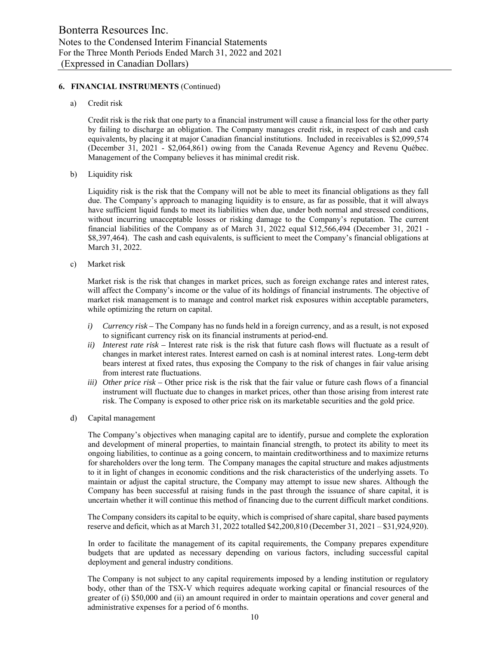#### **6. FINANCIAL INSTRUMENTS** (Continued)

a) Credit risk

Credit risk is the risk that one party to a financial instrument will cause a financial loss for the other party by failing to discharge an obligation. The Company manages credit risk, in respect of cash and cash equivalents, by placing it at major Canadian financial institutions. Included in receivables is \$2,099,574 (December 31, 2021 - \$2,064,861) owing from the Canada Revenue Agency and Revenu Québec. Management of the Company believes it has minimal credit risk.

b) Liquidity risk

Liquidity risk is the risk that the Company will not be able to meet its financial obligations as they fall due. The Company's approach to managing liquidity is to ensure, as far as possible, that it will always have sufficient liquid funds to meet its liabilities when due, under both normal and stressed conditions, without incurring unacceptable losses or risking damage to the Company's reputation. The current financial liabilities of the Company as of March 31, 2022 equal \$12,566,494 (December 31, 2021 - \$8,397,464). The cash and cash equivalents, is sufficient to meet the Company's financial obligations at March 31, 2022.

c) Market risk

Market risk is the risk that changes in market prices, such as foreign exchange rates and interest rates, will affect the Company's income or the value of its holdings of financial instruments. The objective of market risk management is to manage and control market risk exposures within acceptable parameters, while optimizing the return on capital.

- *i) Currency risk* The Company has no funds held in a foreign currency, and as a result, is not exposed to significant currency risk on its financial instruments at period-end.
- *ii) Interest rate risk* Interest rate risk is the risk that future cash flows will fluctuate as a result of changes in market interest rates. Interest earned on cash is at nominal interest rates. Long-term debt bears interest at fixed rates, thus exposing the Company to the risk of changes in fair value arising from interest rate fluctuations.
- *iii) Other price risk* Other price risk is the risk that the fair value or future cash flows of a financial instrument will fluctuate due to changes in market prices, other than those arising from interest rate risk. The Company is exposed to other price risk on its marketable securities and the gold price.
- d) Capital management

The Company's objectives when managing capital are to identify, pursue and complete the exploration and development of mineral properties, to maintain financial strength, to protect its ability to meet its ongoing liabilities, to continue as a going concern, to maintain creditworthiness and to maximize returns for shareholders over the long term. The Company manages the capital structure and makes adjustments to it in light of changes in economic conditions and the risk characteristics of the underlying assets. To maintain or adjust the capital structure, the Company may attempt to issue new shares. Although the Company has been successful at raising funds in the past through the issuance of share capital, it is uncertain whether it will continue this method of financing due to the current difficult market conditions.

The Company considers its capital to be equity, which is comprised of share capital, share based payments reserve and deficit, which as at March 31, 2022 totalled \$42,200,810 (December 31, 2021 – \$31,924,920).

In order to facilitate the management of its capital requirements, the Company prepares expenditure budgets that are updated as necessary depending on various factors, including successful capital deployment and general industry conditions.

The Company is not subject to any capital requirements imposed by a lending institution or regulatory body, other than of the TSX-V which requires adequate working capital or financial resources of the greater of (i) \$50,000 and (ii) an amount required in order to maintain operations and cover general and administrative expenses for a period of 6 months.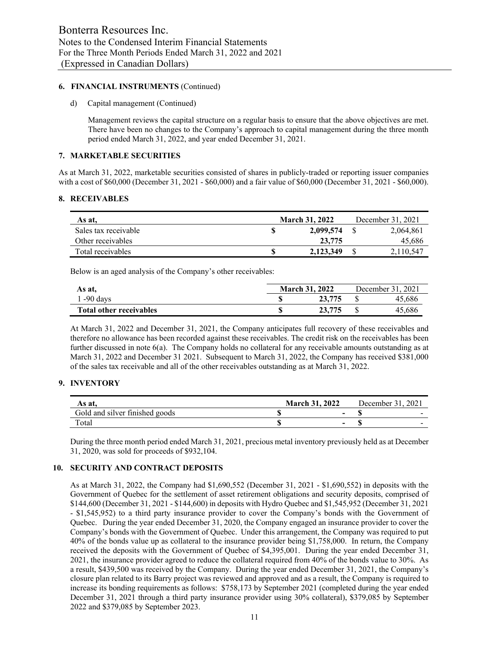#### **6. FINANCIAL INSTRUMENTS** (Continued)

d) Capital management (Continued)

Management reviews the capital structure on a regular basis to ensure that the above objectives are met. There have been no changes to the Company's approach to capital management during the three month period ended March 31, 2022, and year ended December 31, 2021.

#### **7. MARKETABLE SECURITIES**

As at March 31, 2022, marketable securities consisted of shares in publicly-traded or reporting issuer companies with a cost of \$60,000 (December 31, 2021 - \$60,000) and a fair value of \$60,000 (December 31, 2021 - \$60,000).

#### **8. RECEIVABLES**

| As at.               | <b>March 31, 2022</b> | December 31, 2021 |
|----------------------|-----------------------|-------------------|
| Sales tax receivable | 2,099,574             | 2,064,861         |
| Other receivables    | 23,775                | 45,686            |
| Total receivables    | 2,123,349             | 2.110.547         |

Below is an aged analysis of the Company's other receivables:

| As at.                         | <b>March 31, 2022</b> | December 31, 2021 |
|--------------------------------|-----------------------|-------------------|
| $1 - 90$ days                  | 23.775                | 45,686            |
| <b>Total other receivables</b> | 23,775                | 45.686            |

At March 31, 2022 and December 31, 2021, the Company anticipates full recovery of these receivables and therefore no allowance has been recorded against these receivables. The credit risk on the receivables has been further discussed in note 6(a). The Company holds no collateral for any receivable amounts outstanding as at March 31, 2022 and December 31 2021. Subsequent to March 31, 2022, the Company has received \$381,000 of the sales tax receivable and all of the other receivables outstanding as at March 31, 2022.

#### **9. INVENTORY**

| As at,                         | <b>March 31, 2022</b><br>2021<br>December 31. |
|--------------------------------|-----------------------------------------------|
| Gold and silver finished goods | $\sim$                                        |
| Total                          |                                               |

During the three month period ended March 31, 2021, precious metal inventory previously held as at December 31, 2020, was sold for proceeds of \$932,104.

#### **10. SECURITY AND CONTRACT DEPOSITS**

As at March 31, 2022, the Company had \$1,690,552 (December 31, 2021 - \$1,690,552) in deposits with the Government of Quebec for the settlement of asset retirement obligations and security deposits, comprised of \$144,600 (December 31, 2021 - \$144,600) in deposits with Hydro Quebec and \$1,545,952 (December 31, 2021 - \$1,545,952) to a third party insurance provider to cover the Company's bonds with the Government of Quebec. During the year ended December 31, 2020, the Company engaged an insurance provider to cover the Company's bonds with the Government of Quebec. Under this arrangement, the Company was required to put 40% of the bonds value up as collateral to the insurance provider being \$1,758,000. In return, the Company received the deposits with the Government of Quebec of \$4,395,001. During the year ended December 31, 2021, the insurance provider agreed to reduce the collateral required from 40% of the bonds value to 30%. As a result, \$439,500 was received by the Company. During the year ended December 31, 2021, the Company's closure plan related to its Barry project was reviewed and approved and as a result, the Company is required to increase its bonding requirements as follows: \$758,173 by September 2021 (completed during the year ended December 31, 2021 through a third party insurance provider using 30% collateral), \$379,085 by September 2022 and \$379,085 by September 2023.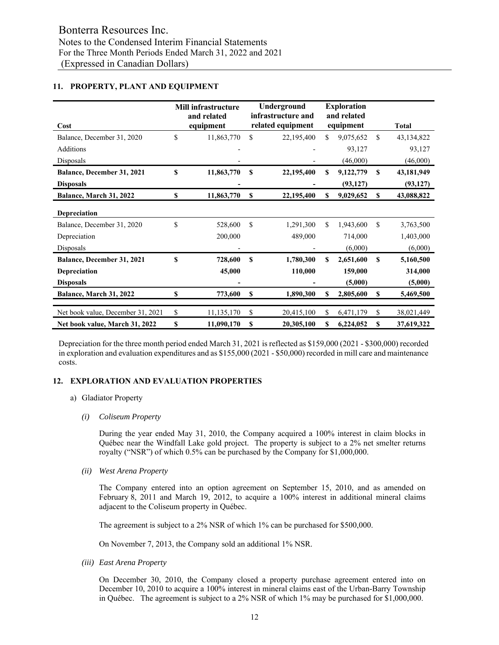#### **11. PROPERTY, PLANT AND EQUIPMENT**

|                                   | <b>Mill infrastructure</b><br>and related |            | Underground<br>infrastructure and |                   |    | <b>Exploration</b><br>and related |    |              |
|-----------------------------------|-------------------------------------------|------------|-----------------------------------|-------------------|----|-----------------------------------|----|--------------|
| Cost                              |                                           | equipment  |                                   | related equipment |    | equipment                         |    | <b>Total</b> |
| Balance, December 31, 2020        | \$                                        | 11,863,770 | \$                                | 22,195,400        | \$ | 9,075,652                         | \$ | 43,134,822   |
| Additions                         |                                           |            |                                   |                   |    | 93,127                            |    | 93,127       |
| Disposals                         |                                           |            |                                   |                   |    | (46,000)                          |    | (46,000)     |
| Balance, December 31, 2021        | \$                                        | 11,863,770 | S                                 | 22,195,400        | S  | 9,122,779                         | S  | 43,181,949   |
| <b>Disposals</b>                  |                                           |            |                                   |                   |    | (93, 127)                         |    | (93, 127)    |
| Balance, March 31, 2022           | \$                                        | 11,863,770 | S                                 | 22,195,400        | S  | 9,029,652                         | S  | 43,088,822   |
| Depreciation                      |                                           |            |                                   |                   |    |                                   |    |              |
| Balance, December 31, 2020        | \$                                        | 528,600    | \$                                | 1,291,300         | \$ | 1,943,600                         | \$ | 3,763,500    |
| Depreciation                      |                                           | 200,000    |                                   | 489,000           |    | 714,000                           |    | 1,403,000    |
| Disposals                         |                                           |            |                                   |                   |    | (6,000)                           |    | (6,000)      |
| Balance, December 31, 2021        | \$                                        | 728,600    | S                                 | 1,780,300         | S  | 2,651,600                         | S  | 5,160,500    |
| Depreciation                      |                                           | 45,000     |                                   | 110,000           |    | 159,000                           |    | 314,000      |
| <b>Disposals</b>                  |                                           |            |                                   |                   |    | (5,000)                           |    | (5,000)      |
| Balance, March 31, 2022           | \$                                        | 773,600    | S                                 | 1,890,300         | S  | 2,805,600                         | S  | 5,469,500    |
| Net book value, December 31, 2021 | \$                                        | 11,135,170 | \$                                | 20,415,100        | \$ | 6,471,179                         | \$ | 38,021,449   |
| Net book value, March 31, 2022    | \$                                        | 11,090,170 | \$                                | 20,305,100        | S  | 6,224,052                         | \$ | 37,619,322   |

Depreciation for the three month period ended March 31, 2021 is reflected as \$159,000 (2021 - \$300,000) recorded in exploration and evaluation expenditures and as \$155,000 (2021 - \$50,000) recorded in mill care and maintenance costs.

#### **12. EXPLORATION AND EVALUATION PROPERTIES**

- a) Gladiator Property
	- *(i) Coliseum Property*

During the year ended May 31, 2010, the Company acquired a 100% interest in claim blocks in Québec near the Windfall Lake gold project. The property is subject to a 2% net smelter returns royalty ("NSR") of which 0.5% can be purchased by the Company for \$1,000,000.

*(ii) West Arena Property* 

The Company entered into an option agreement on September 15, 2010, and as amended on February 8, 2011 and March 19, 2012, to acquire a 100% interest in additional mineral claims adjacent to the Coliseum property in Québec.

The agreement is subject to a 2% NSR of which 1% can be purchased for \$500,000.

On November 7, 2013, the Company sold an additional 1% NSR.

*(iii) East Arena Property* 

On December 30, 2010, the Company closed a property purchase agreement entered into on December 10, 2010 to acquire a 100% interest in mineral claims east of the Urban-Barry Township in Québec. The agreement is subject to a 2% NSR of which 1% may be purchased for \$1,000,000.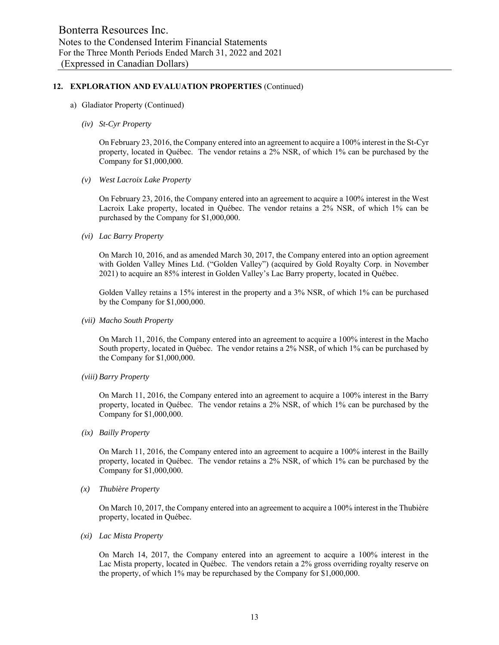- a) Gladiator Property (Continued)
	- *(iv) St-Cyr Property*

On February 23, 2016, the Company entered into an agreement to acquire a 100% interest in the St-Cyr property, located in Québec. The vendor retains a 2% NSR, of which 1% can be purchased by the Company for \$1,000,000.

*(v) West Lacroix Lake Property* 

On February 23, 2016, the Company entered into an agreement to acquire a 100% interest in the West Lacroix Lake property, located in Québec. The vendor retains a 2% NSR, of which 1% can be purchased by the Company for \$1,000,000.

*(vi) Lac Barry Property* 

On March 10, 2016, and as amended March 30, 2017, the Company entered into an option agreement with Golden Valley Mines Ltd. ("Golden Valley") (acquired by Gold Royalty Corp. in November 2021) to acquire an 85% interest in Golden Valley's Lac Barry property, located in Québec.

Golden Valley retains a 15% interest in the property and a 3% NSR, of which 1% can be purchased by the Company for \$1,000,000.

*(vii) Macho South Property* 

On March 11, 2016, the Company entered into an agreement to acquire a 100% interest in the Macho South property, located in Québec. The vendor retains a 2% NSR, of which 1% can be purchased by the Company for \$1,000,000.

*(viii) Barry Property* 

On March 11, 2016, the Company entered into an agreement to acquire a 100% interest in the Barry property, located in Québec. The vendor retains a 2% NSR, of which 1% can be purchased by the Company for \$1,000,000.

*(ix) Bailly Property* 

On March 11, 2016, the Company entered into an agreement to acquire a 100% interest in the Bailly property, located in Québec. The vendor retains a 2% NSR, of which 1% can be purchased by the Company for \$1,000,000.

*(x) Thubière Property* 

On March 10, 2017, the Company entered into an agreement to acquire a 100% interest in the Thubière property, located in Québec.

*(xi) Lac Mista Property* 

On March 14, 2017, the Company entered into an agreement to acquire a 100% interest in the Lac Mista property, located in Québec. The vendors retain a 2% gross overriding royalty reserve on the property, of which 1% may be repurchased by the Company for \$1,000,000.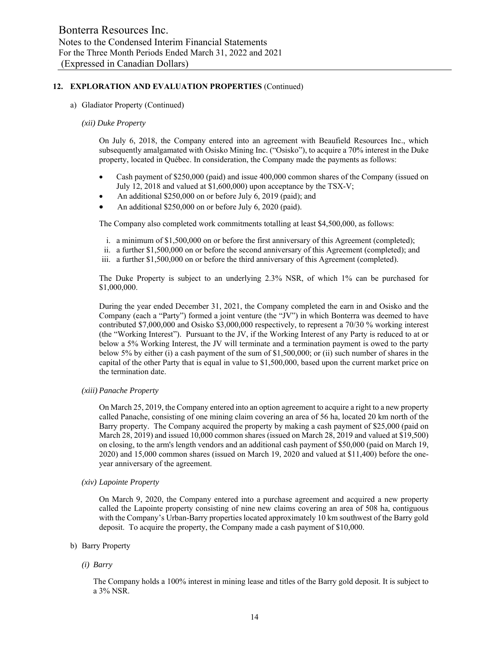#### a) Gladiator Property (Continued)

#### *(xii) Duke Property*

On July 6, 2018, the Company entered into an agreement with Beaufield Resources Inc., which subsequently amalgamated with Osisko Mining Inc. ("Osisko"), to acquire a 70% interest in the Duke property, located in Québec. In consideration, the Company made the payments as follows:

- Cash payment of \$250,000 (paid) and issue 400,000 common shares of the Company (issued on July 12, 2018 and valued at \$1,600,000) upon acceptance by the TSX-V;
- An additional \$250,000 on or before July 6, 2019 (paid); and
- An additional \$250,000 on or before July 6, 2020 (paid).

The Company also completed work commitments totalling at least \$4,500,000, as follows:

- i. a minimum of \$1,500,000 on or before the first anniversary of this Agreement (completed);
- ii. a further \$1,500,000 on or before the second anniversary of this Agreement (completed); and
- iii. a further \$1,500,000 on or before the third anniversary of this Agreement (completed).

The Duke Property is subject to an underlying 2.3% NSR, of which 1% can be purchased for \$1,000,000.

During the year ended December 31, 2021, the Company completed the earn in and Osisko and the Company (each a "Party") formed a joint venture (the "JV") in which Bonterra was deemed to have contributed \$7,000,000 and Osisko \$3,000,000 respectively, to represent a 70/30 % working interest (the "Working Interest"). Pursuant to the JV, if the Working Interest of any Party is reduced to at or below a 5% Working Interest, the JV will terminate and a termination payment is owed to the party below 5% by either (i) a cash payment of the sum of \$1,500,000; or (ii) such number of shares in the capital of the other Party that is equal in value to \$1,500,000, based upon the current market price on the termination date.

#### *(xiii) Panache Property*

On March 25, 2019, the Company entered into an option agreement to acquire a right to a new property called Panache, consisting of one mining claim covering an area of 56 ha, located 20 km north of the Barry property. The Company acquired the property by making a cash payment of \$25,000 (paid on March 28, 2019) and issued 10,000 common shares (issued on March 28, 2019 and valued at \$19,500) on closing, to the arm's length vendors and an additional cash payment of \$50,000 (paid on March 19, 2020) and 15,000 common shares (issued on March 19, 2020 and valued at \$11,400) before the oneyear anniversary of the agreement.

*(xiv) Lapointe Property* 

On March 9, 2020, the Company entered into a purchase agreement and acquired a new property called the Lapointe property consisting of nine new claims covering an area of 508 ha, contiguous with the Company's Urban-Barry properties located approximately 10 km southwest of the Barry gold deposit. To acquire the property, the Company made a cash payment of \$10,000.

#### b) Barry Property

#### *(i) Barry*

The Company holds a 100% interest in mining lease and titles of the Barry gold deposit. It is subject to a 3% NSR.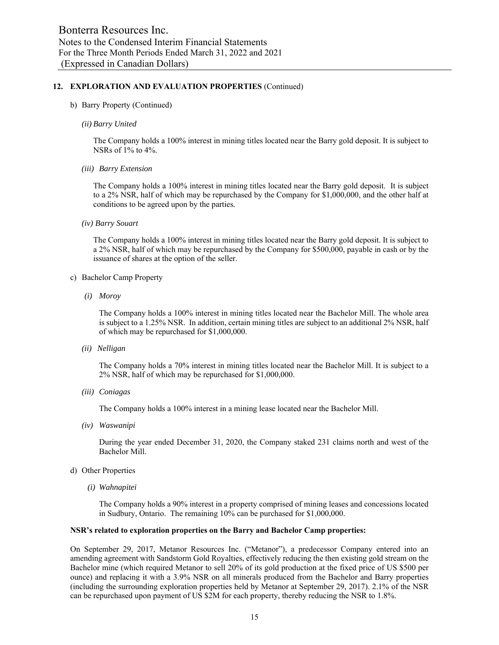#### b) Barry Property (Continued)

*(ii) Barry United* 

The Company holds a 100% interest in mining titles located near the Barry gold deposit. It is subject to NSRs of 1% to 4%.

*(iii) Barry Extension* 

The Company holds a 100% interest in mining titles located near the Barry gold deposit. It is subject to a 2% NSR, half of which may be repurchased by the Company for \$1,000,000, and the other half at conditions to be agreed upon by the parties*.* 

*(iv) Barry Souart* 

The Company holds a 100% interest in mining titles located near the Barry gold deposit. It is subject to a 2% NSR, half of which may be repurchased by the Company for \$500,000, payable in cash or by the issuance of shares at the option of the seller.

- c) Bachelor Camp Property
	- *(i) Moroy*

The Company holds a 100% interest in mining titles located near the Bachelor Mill. The whole area is subject to a 1.25% NSR. In addition, certain mining titles are subject to an additional 2% NSR, half of which may be repurchased for \$1,000,000.

*(ii) Nelligan* 

The Company holds a 70% interest in mining titles located near the Bachelor Mill. It is subject to a 2% NSR, half of which may be repurchased for \$1,000,000.

*(iii) Coniagas* 

The Company holds a 100% interest in a mining lease located near the Bachelor Mill.

*(iv) Waswanipi* 

During the year ended December 31, 2020, the Company staked 231 claims north and west of the Bachelor Mill.

- d) Other Properties
	- *(i) Wahnapitei*

The Company holds a 90% interest in a property comprised of mining leases and concessions located in Sudbury, Ontario. The remaining 10% can be purchased for \$1,000,000.

#### **NSR's related to exploration properties on the Barry and Bachelor Camp properties:**

On September 29, 2017, Metanor Resources Inc. ("Metanor"), a predecessor Company entered into an amending agreement with Sandstorm Gold Royalties, effectively reducing the then existing gold stream on the Bachelor mine (which required Metanor to sell 20% of its gold production at the fixed price of US \$500 per ounce) and replacing it with a 3.9% NSR on all minerals produced from the Bachelor and Barry properties (including the surrounding exploration properties held by Metanor at September 29, 2017). 2.1% of the NSR can be repurchased upon payment of US \$2M for each property, thereby reducing the NSR to 1.8%.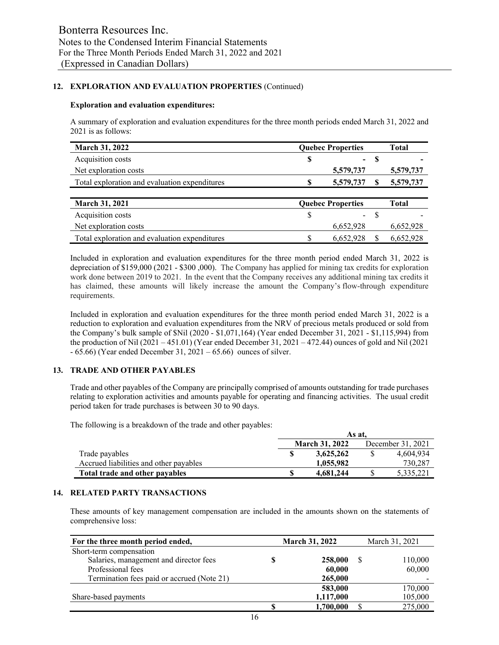#### **Exploration and evaluation expenditures:**

A summary of exploration and evaluation expenditures for the three month periods ended March 31, 2022 and 2021 is as follows:

| <b>March 31, 2022</b>                         | <b>Quebec Properties</b> |                          | <b>Total</b> |           |
|-----------------------------------------------|--------------------------|--------------------------|--------------|-----------|
| Acquisition costs                             | S                        | $\overline{\phantom{a}}$ | -8           |           |
| Net exploration costs                         |                          | 5,579,737                |              | 5,579,737 |
| Total exploration and evaluation expenditures | 5,579,737<br>S           |                          |              | 5,579,737 |
|                                               |                          |                          |              |           |
| <b>March 31, 2021</b>                         |                          | <b>Quebec Properties</b> |              | Total     |
| Acquisition costs                             | \$                       | $\overline{\phantom{a}}$ | -S           |           |
| Net exploration costs                         |                          | 6,652,928                |              | 6,652,928 |
| Total exploration and evaluation expenditures | \$                       | 6,652,928                | S            | 6,652,928 |

Included in exploration and evaluation expenditures for the three month period ended March 31, 2022 is depreciation of \$159,000 (2021 - \$300 ,000). The Company has applied for mining tax credits for exploration work done between 2019 to 2021. In the event that the Company receives any additional mining tax credits it has claimed, these amounts will likely increase the amount the Company's flow-through expenditure requirements.

Included in exploration and evaluation expenditures for the three month period ended March 31, 2022 is a reduction to exploration and evaluation expenditures from the NRV of precious metals produced or sold from the Company's bulk sample of \$Nil (2020 - \$1,071,164) (Year ended December 31, 2021 - \$1,115,994) from the production of Nil (2021 – 451.01) (Year ended December 31, 2021 – 472.44) ounces of gold and Nil (2021  $-65.66$ ) (Year ended December 31, 2021 – 65.66) ounces of silver.

#### **13. TRADE AND OTHER PAYABLES**

Trade and other payables of the Company are principally comprised of amounts outstanding for trade purchases relating to exploration activities and amounts payable for operating and financing activities. The usual credit period taken for trade purchases is between 30 to 90 days.

The following is a breakdown of the trade and other payables:

|                                        | As at. |                       |  |                   |  |
|----------------------------------------|--------|-----------------------|--|-------------------|--|
|                                        |        | <b>March 31, 2022</b> |  | December 31, 2021 |  |
| Trade payables                         |        | 3.625,262             |  | 4,604,934         |  |
| Accrued liabilities and other payables |        | 1,055,982             |  | 730,287           |  |
| Total trade and other payables         |        | 4.681.244             |  | 5.335.221         |  |

#### **14. RELATED PARTY TRANSACTIONS**

These amounts of key management compensation are included in the amounts shown on the statements of comprehensive loss:

| For the three month period ended,          | <b>March 31, 2022</b> |  | March 31, 2021 |  |
|--------------------------------------------|-----------------------|--|----------------|--|
| Short-term compensation                    |                       |  |                |  |
| Salaries, management and director fees     | 258,000               |  | 110,000        |  |
| Professional fees                          | 60,000                |  | 60,000         |  |
| Termination fees paid or accrued (Note 21) | 265,000               |  |                |  |
|                                            | 583,000               |  | 170,000        |  |
| Share-based payments                       | 1,117,000             |  | 105,000        |  |
|                                            | 1,700,000             |  | 275,000        |  |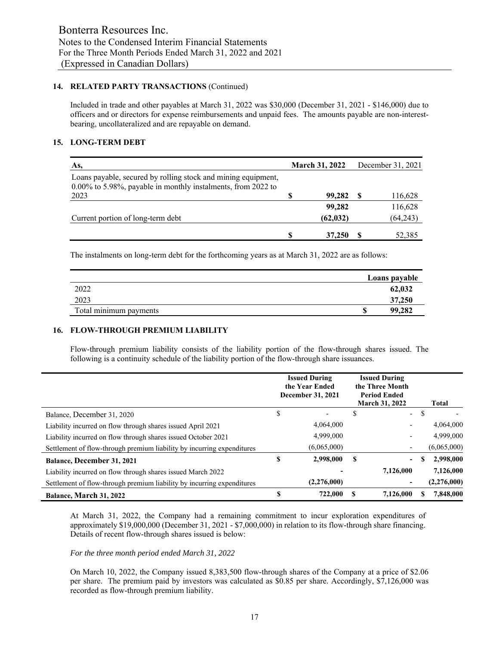#### **14. RELATED PARTY TRANSACTIONS** (Continued)

Included in trade and other payables at March 31, 2022 was \$30,000 (December 31, 2021 - \$146,000) due to officers and or directors for expense reimbursements and unpaid fees. The amounts payable are non-interestbearing, uncollateralized and are repayable on demand.

#### **15. LONG-TERM DEBT**

| As,                                                                                                                           | <b>March 31, 2022</b> |           | December 31, 2021 |
|-------------------------------------------------------------------------------------------------------------------------------|-----------------------|-----------|-------------------|
| Loans payable, secured by rolling stock and mining equipment,<br>0.00% to 5.98%, payable in monthly instalments, from 2022 to |                       |           |                   |
| 2023                                                                                                                          |                       | 99,282    | 116,628           |
|                                                                                                                               |                       | 99,282    | 116,628           |
| Current portion of long-term debt                                                                                             |                       | (62, 032) | (64,243)          |
|                                                                                                                               |                       | 37,250    | 52,385            |

The instalments on long-term debt for the forthcoming years as at March 31, 2022 are as follows:

|                        | Loans payable |
|------------------------|---------------|
| 2022                   | 62,032        |
| 2023                   | 37,250        |
| Total minimum payments | 99,282        |

#### **16. FLOW-THROUGH PREMIUM LIABILITY**

Flow-through premium liability consists of the liability portion of the flow-through shares issued. The following is a continuity schedule of the liability portion of the flow-through share issuances.

|                                                                        |    | <b>Issued During</b><br>the Year Ended<br><b>December 31, 2021</b> | <b>Issued During</b><br>the Three Month<br><b>Period Ended</b><br><b>March 31, 2022</b> |                          |    | Total       |
|------------------------------------------------------------------------|----|--------------------------------------------------------------------|-----------------------------------------------------------------------------------------|--------------------------|----|-------------|
| Balance, December 31, 2020                                             | \$ |                                                                    | ъ.                                                                                      | $\omega_{\rm{max}}$      | -S |             |
| Liability incurred on flow through shares issued April 2021            |    | 4,064,000                                                          |                                                                                         |                          |    | 4,064,000   |
| Liability incurred on flow through shares issued October 2021          |    | 4,999,000                                                          |                                                                                         |                          |    | 4,999,000   |
| Settlement of flow-through premium liability by incurring expenditures |    | (6,065,000)                                                        |                                                                                         |                          |    | (6,065,000) |
| <b>Balance, December 31, 2021</b>                                      | \$ | 2,998,000                                                          | S                                                                                       | $\overline{\phantom{0}}$ | \$ | 2,998,000   |
| Liability incurred on flow through shares issued March 2022            |    |                                                                    |                                                                                         | 7,126,000                |    | 7,126,000   |
| Settlement of flow-through premium liability by incurring expenditures |    | (2,276,000)                                                        |                                                                                         |                          |    | (2,276,000) |
| Balance, March 31, 2022                                                | S  | 722,000                                                            |                                                                                         | 7,126,000                |    | 7,848,000   |

At March 31, 2022, the Company had a remaining commitment to incur exploration expenditures of approximately \$19,000,000 (December 31, 2021 - \$7,000,000) in relation to its flow-through share financing. Details of recent flow-through shares issued is below:

*For the three month period ended March 31, 2022* 

On March 10, 2022, the Company issued 8,383,500 flow-through shares of the Company at a price of \$2.06 per share. The premium paid by investors was calculated as \$0.85 per share. Accordingly, \$7,126,000 was recorded as flow-through premium liability.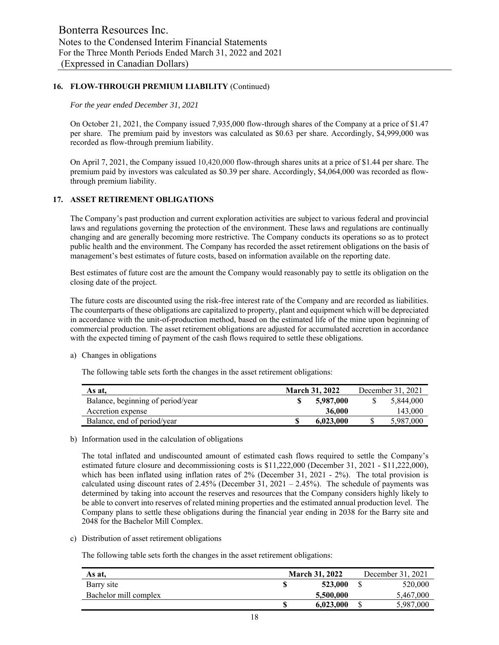#### **16. FLOW-THROUGH PREMIUM LIABILITY** (Continued)

*For the year ended December 31, 2021* 

On October 21, 2021, the Company issued 7,935,000 flow-through shares of the Company at a price of \$1.47 per share. The premium paid by investors was calculated as \$0.63 per share. Accordingly, \$4,999,000 was recorded as flow-through premium liability.

On April 7, 2021, the Company issued 10,420,000 flow-through shares units at a price of \$1.44 per share. The premium paid by investors was calculated as \$0.39 per share. Accordingly, \$4,064,000 was recorded as flowthrough premium liability.

#### **17. ASSET RETIREMENT OBLIGATIONS**

The Company's past production and current exploration activities are subject to various federal and provincial laws and regulations governing the protection of the environment. These laws and regulations are continually changing and are generally becoming more restrictive. The Company conducts its operations so as to protect public health and the environment. The Company has recorded the asset retirement obligations on the basis of management's best estimates of future costs, based on information available on the reporting date.

Best estimates of future cost are the amount the Company would reasonably pay to settle its obligation on the closing date of the project.

The future costs are discounted using the risk-free interest rate of the Company and are recorded as liabilities. The counterparts of these obligations are capitalized to property, plant and equipment which will be depreciated in accordance with the unit-of-production method, based on the estimated life of the mine upon beginning of commercial production. The asset retirement obligations are adjusted for accumulated accretion in accordance with the expected timing of payment of the cash flows required to settle these obligations.

#### a) Changes in obligations

The following table sets forth the changes in the asset retirement obligations:

| As at.                            | <b>March 31, 2022</b> |           | December 31, 2021 |
|-----------------------------------|-----------------------|-----------|-------------------|
| Balance, beginning of period/year |                       | 5,987,000 | 5.844,000         |
| Accretion expense                 |                       | 36,000    | 143,000           |
| Balance, end of period/year       |                       | 6.023.000 | 5,987,000         |

b) Information used in the calculation of obligations

The total inflated and undiscounted amount of estimated cash flows required to settle the Company's estimated future closure and decommissioning costs is \$11,222,000 (December 31, 2021 - \$11,222,000), which has been inflated using inflation rates of 2% (December 31, 2021 - 2%). The total provision is calculated using discount rates of  $2.45\%$  (December 31,  $2021 - 2.45\%$ ). The schedule of payments was determined by taking into account the reserves and resources that the Company considers highly likely to be able to convert into reserves of related mining properties and the estimated annual production level. The Company plans to settle these obligations during the financial year ending in 2038 for the Barry site and 2048 for the Bachelor Mill Complex.

c) Distribution of asset retirement obligations

The following table sets forth the changes in the asset retirement obligations:

| As at,                | <b>March 31, 2022</b> |  | December 31, 2021 |
|-----------------------|-----------------------|--|-------------------|
| Barry site            | 523,000               |  | 520,000           |
| Bachelor mill complex | 5,500,000             |  | 5,467,000         |
|                       | 6,023,000             |  | 5,987,000         |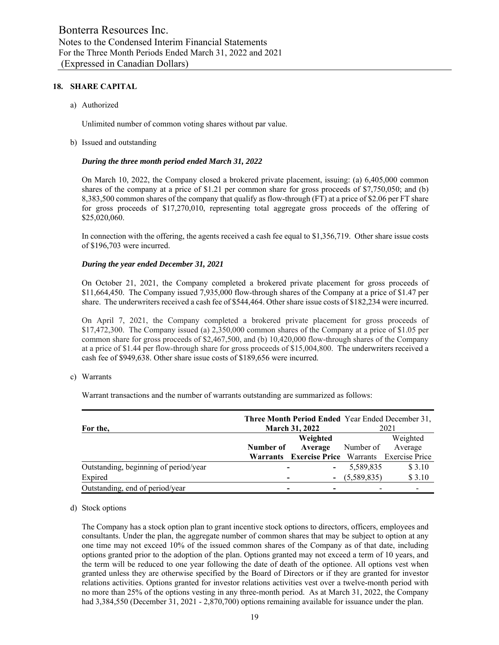#### **18. SHARE CAPITAL**

a) Authorized

Unlimited number of common voting shares without par value.

b) Issued and outstanding

#### *During the three month period ended March 31, 2022*

On March 10, 2022, the Company closed a brokered private placement, issuing: (a) 6,405,000 common shares of the company at a price of \$1.21 per common share for gross proceeds of \$7,750,050; and (b) 8,383,500 common shares of the company that qualify as flow-through (FT) at a price of \$2.06 per FT share for gross proceeds of \$17,270,010, representing total aggregate gross proceeds of the offering of \$25,020,060.

In connection with the offering, the agents received a cash fee equal to \$1,356,719. Other share issue costs of \$196,703 were incurred.

#### *During the year ended December 31, 2021*

On October 21, 2021, the Company completed a brokered private placement for gross proceeds of \$11,664,450. The Company issued 7,935,000 flow-through shares of the Company at a price of \$1.47 per share. The underwriters received a cash fee of \$544,464. Other share issue costs of \$182,234 were incurred.

On April 7, 2021, the Company completed a brokered private placement for gross proceeds of \$17,472,300. The Company issued (a) 2,350,000 common shares of the Company at a price of \$1.05 per common share for gross proceeds of \$2,467,500, and (b) 10,420,000 flow-through shares of the Company at a price of \$1.44 per flow-through share for gross proceeds of \$15,004,800. The underwriters received a cash fee of \$949,638. Other share issue costs of \$189,656 were incurred.

#### c) Warrants

Warrant transactions and the number of warrants outstanding are summarized as follows:

| For the,                              |           | <b>March 31, 2022</b>                           | Three Month Period Ended Year Ended December 31,<br>2021 |          |  |
|---------------------------------------|-----------|-------------------------------------------------|----------------------------------------------------------|----------|--|
|                                       |           | Weighted                                        |                                                          | Weighted |  |
|                                       | Number of | Average                                         | Number of                                                | Average  |  |
|                                       |           | Warrants Exercise Price Warrants Exercise Price |                                                          |          |  |
| Outstanding, beginning of period/year |           |                                                 | 5,589,835                                                | \$3.10   |  |
| Expired                               |           |                                                 | (5,589,835)                                              | \$3.10   |  |
| Outstanding, end of period/year       |           |                                                 |                                                          |          |  |

#### d) Stock options

The Company has a stock option plan to grant incentive stock options to directors, officers, employees and consultants. Under the plan, the aggregate number of common shares that may be subject to option at any one time may not exceed 10% of the issued common shares of the Company as of that date, including options granted prior to the adoption of the plan. Options granted may not exceed a term of 10 years, and the term will be reduced to one year following the date of death of the optionee. All options vest when granted unless they are otherwise specified by the Board of Directors or if they are granted for investor relations activities. Options granted for investor relations activities vest over a twelve-month period with no more than 25% of the options vesting in any three-month period. As at March 31, 2022, the Company had 3,384,550 (December 31, 2021 - 2,870,700) options remaining available for issuance under the plan.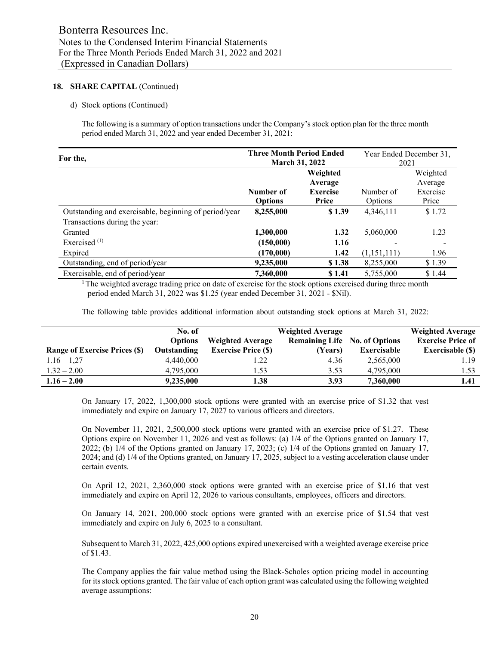#### 18. SHARE CAPITAL (Continued)

#### d) Stock options (Continued)

The following is a summary of option transactions under the Company's stock option plan for the three month period ended March 31, 2022 and year ended December 31, 2021:

| For the,                                              | <b>Three Month Period Ended</b><br><b>March 31, 2022</b> |                 | Year Ended December 31,<br>2021 |          |  |
|-------------------------------------------------------|----------------------------------------------------------|-----------------|---------------------------------|----------|--|
|                                                       |                                                          | Weighted        |                                 | Weighted |  |
|                                                       |                                                          | Average         |                                 | Average  |  |
|                                                       | Number of                                                | <b>Exercise</b> | Number of                       | Exercise |  |
|                                                       | <b>Options</b>                                           | Price           | Options                         | Price    |  |
| Outstanding and exercisable, beginning of period/year | 8,255,000                                                | \$1.39          | 4,346,111                       | \$1.72   |  |
| Transactions during the year:                         |                                                          |                 |                                 |          |  |
| Granted                                               | 1,300,000                                                | 1.32            | 5,060,000                       | 1.23     |  |
| Exercised $(1)$                                       | (150,000)                                                | 1.16            |                                 |          |  |
| Expired                                               | (170,000)                                                | 1.42            | (1,151,111)                     | 1.96     |  |
| Outstanding, end of period/year                       | 9,235,000                                                | \$1.38          | 8,255,000                       | \$1.39   |  |
| Exercisable, end of period/year                       | 7,360,000                                                | \$1.41          | 5,755,000                       | \$1.44   |  |

 $1$ . The weighted average trading price on date of exercise for the stock options exercised during three month period ended March 31, 2022 was \$1.25 (year ended December 31, 2021 - \$Nil).

The following table provides additional information about outstanding stock options at March 31, 2022:

|                                      | No. of         |                            | <b>Weighted Average</b>              |             | <b>Weighted Average</b>  |
|--------------------------------------|----------------|----------------------------|--------------------------------------|-------------|--------------------------|
|                                      | <b>Options</b> | <b>Weighted Average</b>    | <b>Remaining Life No. of Options</b> |             | <b>Exercise Price of</b> |
| <b>Range of Exercise Prices (\$)</b> | Outstanding    | <b>Exercise Price (\$)</b> | (Years)                              | Exercisable | <b>Exercisable (\$)</b>  |
| $1.16 - 1,27$                        | 4,440,000      | .22                        | 4.36                                 | 2,565,000   | 1.19                     |
| $1.32 - 2.00$                        | 4,795,000      | 1.53                       | 3.53                                 | 4,795,000   | 1.53                     |
| $1.16 - 2.00$                        | 9,235,000      | 1.38                       | 3.93                                 | 7,360,000   | 1.41                     |

On January 17, 2022, 1,300,000 stock options were granted with an exercise price of \$1.32 that vest immediately and expire on January 17, 2027 to various officers and directors.

On November 11, 2021, 2,500,000 stock options were granted with an exercise price of \$1.27. These Options expire on November 11, 2026 and vest as follows: (a) 1/4 of the Options granted on January 17, 2022; (b) 1/4 of the Options granted on January 17, 2023; (c) 1/4 of the Options granted on January 17, 2024; and (d) 1/4 of the Options granted, on January 17, 2025, subject to a vesting acceleration clause under certain events.

On April 12, 2021, 2,360,000 stock options were granted with an exercise price of \$1.16 that vest immediately and expire on April 12, 2026 to various consultants, employees, officers and directors.

On January 14, 2021, 200,000 stock options were granted with an exercise price of \$1.54 that vest immediately and expire on July 6, 2025 to a consultant.

Subsequent to March 31, 2022, 425,000 options expired unexercised with a weighted average exercise price of \$1.43.

The Company applies the fair value method using the Black-Scholes option pricing model in accounting for its stock options granted. The fair value of each option grant was calculated using the following weighted average assumptions: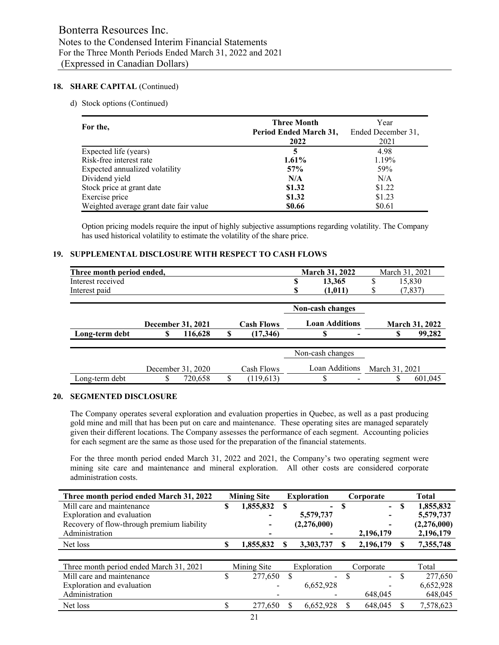#### 18. SHARE CAPITAL (Continued)

d) Stock options (Continued)

| For the,                               | <b>Three Month</b><br>Period Ended March 31,<br>2022 | Year<br>Ended December 31,<br>2021 |
|----------------------------------------|------------------------------------------------------|------------------------------------|
| Expected life (years)                  | 5                                                    | 4.98                               |
| Risk-free interest rate                | 1.61%                                                | 1.19%                              |
| Expected annualized volatility         | 57%                                                  | 59%                                |
| Dividend yield                         | N/A                                                  | N/A                                |
| Stock price at grant date              | \$1.32                                               | \$1.22                             |
| Exercise price                         | \$1.32                                               | \$1.23                             |
| Weighted average grant date fair value | \$0.66                                               | \$0.61                             |

Option pricing models require the input of highly subjective assumptions regarding volatility. The Company has used historical volatility to estimate the volatility of the share price.

#### **19. SUPPLEMENTAL DISCLOSURE WITH RESPECT TO CASH FLOWS**

| Three month period ended, |                          |   |                   |                       | <b>March 31, 2022</b> |  | March 31, 2021        |         |
|---------------------------|--------------------------|---|-------------------|-----------------------|-----------------------|--|-----------------------|---------|
| Interest received         |                          |   |                   | S                     | 13,365                |  |                       | 15,830  |
| Interest paid             |                          |   |                   | D                     | (1,011)               |  |                       | (7,837) |
|                           |                          |   |                   | Non-cash changes      |                       |  |                       |         |
|                           | <b>December 31, 2021</b> |   | <b>Cash Flows</b> | <b>Loan Additions</b> |                       |  | <b>March 31, 2022</b> |         |
| Long-term debt            | \$<br>116,628            | S | (17,346)          |                       | S                     |  | S                     | 99,282  |
|                           |                          |   |                   |                       | Non-cash changes      |  |                       |         |
|                           | December 31, 2020        |   | Cash Flows        |                       | Loan Additions        |  | March 31, 2021        |         |
| Long-term debt            | 720,658                  |   | (119, 613)        |                       | S                     |  |                       | 601,045 |

#### **20. SEGMENTED DISCLOSURE**

The Company operates several exploration and evaluation properties in Quebec, as well as a past producing gold mine and mill that has been put on care and maintenance. These operating sites are managed separately given their different locations. The Company assesses the performance of each segment. Accounting policies for each segment are the same as those used for the preparation of the financial statements.

For the three month period ended March 31, 2022 and 2021, the Company's two operating segment were mining site care and maintenance and mineral exploration. All other costs are considered corporate administration costs.

| Three month period ended March 31, 2022    | <b>Mining Site</b> |             | <b>Exploration</b> |                          | Corporate |           | <b>Total</b> |             |
|--------------------------------------------|--------------------|-------------|--------------------|--------------------------|-----------|-----------|--------------|-------------|
| Mill care and maintenance                  | \$                 | 1,855,832   | <b>S</b>           | $\overline{\phantom{0}}$ | -S        | $\sim$    | -8           | 1,855,832   |
| Exploration and evaluation                 |                    |             |                    | 5,579,737                |           | -         |              | 5,579,737   |
| Recovery of flow-through premium liability |                    |             |                    | (2, 276, 000)            |           | -         |              | (2,276,000) |
| Administration                             |                    |             |                    |                          |           | 2,196,179 |              | 2,196,179   |
| Net loss                                   |                    | 1,855,832   |                    | 3,303,737                |           | 2,196,179 | S            | 7,355,748   |
|                                            |                    |             |                    |                          |           |           |              |             |
| Three month period ended March 31, 2021    |                    | Mining Site |                    | Exploration              |           | Corporate |              | Total       |
| Mill care and maintenance                  | S                  | 277,650     | S                  | $\overline{\phantom{a}}$ | \$        | $\sim$    | -\$          | 277,650     |
| Exploration and evaluation                 |                    |             |                    | 6,652,928                |           |           |              | 6,652,928   |
| Administration                             |                    |             |                    |                          |           | 648,045   |              | 648,045     |
| Net loss                                   |                    | 277,650     |                    | 6,652,928                |           | 648,045   | S            | 7,578,623   |